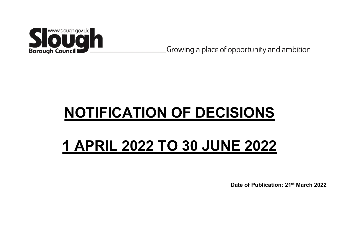

Growing a place of opportunity and ambition

# **NOTIFICATION OF DECISIONS**

# **1 APRIL 2022 TO 30 JUNE 2022**

**Date of Publication: 21st March 2022**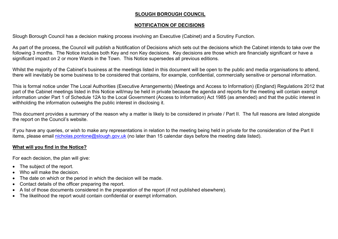## **SLOUGH BOROUGH COUNCIL**

## **NOTIFICATION OF DECISIONS**

Slough Borough Council has a decision making process involving an Executive (Cabinet) and a Scrutiny Function.

As part of the process, the Council will publish a Notification of Decisions which sets out the decisions which the Cabinet intends to take over the following 3 months. The Notice includes both Key and non Key decisions. Key decisions are those which are financially significant or have a significant impact on 2 or more Wards in the Town. This Notice supersedes all previous editions.

Whilst the majority of the Cabinet's business at the meetings listed in this document will be open to the public and media organisations to attend, there will inevitably be some business to be considered that contains, for example, confidential, commercially sensitive or personal information.

This is formal notice under The Local Authorities (Executive Arrangements) (Meetings and Access to Information) (England) Regulations 2012 that part of the Cabinet meetings listed in this Notice will/may be held in private because the agenda and reports for the meeting will contain exempt information under Part 1 of Schedule 12A to the Local Government (Access to Information) Act 1985 (as amended) and that the public interest in withholding the information outweighs the public interest in disclosing it.

This document provides a summary of the reason why a matter is likely to be considered in private / Part II. The full reasons are listed alongside the report on the Council's website.

If you have any queries, or wish to make any representations in relation to the meeting being held in private for the consideration of the Part II items, please email [nicholas.pontone@slough.gov.uk](mailto:nicholas.pontone@slough.gov.uk) (no later than 15 calendar days before the meeting date listed).

## **What will you find in the Notice?**

For each decision, the plan will give:

- The subject of the report.
- Who will make the decision
- The date on which or the period in which the decision will be made.
- Contact details of the officer preparing the report.
- A list of those documents considered in the preparation of the report (if not published elsewhere).
- The likelihood the report would contain confidential or exempt information.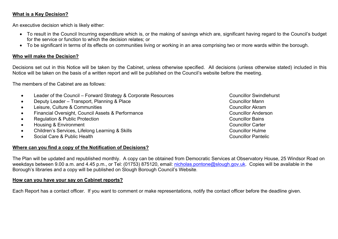## **What is a Key Decision?**

An executive decision which is likely either:

- To result in the Council Incurring expenditure which is, or the making of savings which are, significant having regard to the Council's budget for the service or function to which the decision relates; or
- To be significant in terms of its effects on communities living or working in an area comprising two or more wards within the borough.

#### **Who will make the Decision?**

Decisions set out in this Notice will be taken by the Cabinet, unless otherwise specified. All decisions (unless otherwise stated) included in this Notice will be taken on the basis of a written report and will be published on the Council's website before the meeting.

The members of the Cabinet are as follows:

- Leader of the Council Forward Strategy & Corporate Resources Councillor Swindlehurst
- Deputy Leader Transport, Planning & Place Councillor Mann
- Leisure, Culture & Communities **Councillor Akram**
- Financial Oversight, Council Assets & Performance Councillor Anderson
- Regulation & Public Protection Councillor Bains
- Housing & Environment Councillor Carter
- Children's Services, Lifelong Learning & Skills Councillor Hulme Councillor Hulme
- Social Care & Public Health Councillor Pantelic Councillor Pantelic

#### **Where can you find a copy of the Notification of Decisions?**

The Plan will be updated and republished monthly. A copy can be obtained from Democratic Services at Observatory House, 25 Windsor Road on weekdays between 9.00 a.m. and 4.45 p.m., or Tel: (01753) 875120, email: [nicholas.pontone@slough.gov.uk](mailto:nicholas.pontone@slough.gov.uk). Copies will be available in the Borough's libraries and a copy will be published on Slough Borough Council's Website.

#### **How can you have your say on Cabinet reports?**

Each Report has a contact officer. If you want to comment or make representations, notify the contact officer before the deadline given.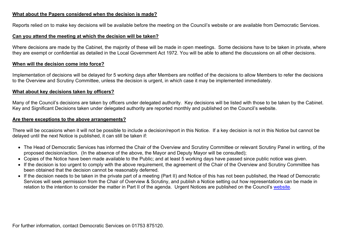#### **What about the Papers considered when the decision is made?**

Reports relied on to make key decisions will be available before the meeting on the Council's website or are available from Democratic Services.

#### **Can you attend the meeting at which the decision will be taken?**

Where decisions are made by the Cabinet, the majority of these will be made in open meetings. Some decisions have to be taken in private, where they are exempt or confidential as detailed in the Local Government Act 1972. You will be able to attend the discussions on all other decisions.

#### **When will the decision come into force?**

Implementation of decisions will be delayed for 5 working days after Members are notified of the decisions to allow Members to refer the decisions to the Overview and Scrutiny Committee, unless the decision is urgent, in which case it may be implemented immediately.

#### **What about key decisions taken by officers?**

Many of the Council's decisions are taken by officers under delegated authority. Key decisions will be listed with those to be taken by the Cabinet. Key and Significant Decisions taken under delegated authority are reported monthly and published on the Council's website.

#### **Are there exceptions to the above arrangements?**

There will be occasions when it will not be possible to include a decision/report in this Notice. If a key decision is not in this Notice but cannot be delayed until the next Notice is published, it can still be taken if:

- The Head of Democratic Services has informed the Chair of the Overview and Scrutiny Committee or relevant Scrutiny Panel in writing, of the proposed decision/action. (In the absence of the above, the Mayor and Deputy Mayor will be consulted);
- Copies of the Notice have been made available to the Public; and at least 5 working days have passed since public notice was given.
- If the decision is too urgent to comply with the above requirement, the agreement of the Chair of the Overview and Scrutiny Committee has been obtained that the decision cannot be reasonably deferred.
- If the decision needs to be taken in the private part of a meeting (Part II) and Notice of this has not been published, the Head of Democratic Services will seek permission from the Chair of Overview & Scrutiny, and publish a Notice setting out how representations can be made in relation to the intention to consider the matter in Part II of the agenda. Urgent Notices are published on the Council's [website](http://www.slough.gov.uk/moderngov/ecCatDisplay.aspx?sch=doc&cat=13630&path=0).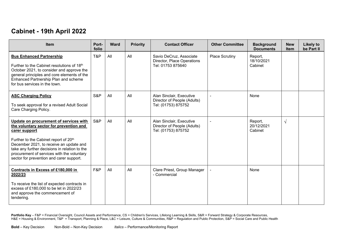# **Cabinet - 19th April 2022**

| <b>Item</b>                                                                                                                                                                                                                                                                                                                                   | Port-<br>folio | <b>Ward</b> | <b>Priority</b> | <b>Contact Officer</b>                                                         | <b>Other Committee</b> | <b>Background</b><br><b>Documents</b> | <b>New</b><br><b>Item</b> | <b>Likely to</b><br>be Part II |
|-----------------------------------------------------------------------------------------------------------------------------------------------------------------------------------------------------------------------------------------------------------------------------------------------------------------------------------------------|----------------|-------------|-----------------|--------------------------------------------------------------------------------|------------------------|---------------------------------------|---------------------------|--------------------------------|
| <b>Bus Enhanced Partnership</b><br>Further to the Cabinet resolutions of 18th<br>October 2021, to consider and approve the<br>general principles and core elements of the<br>Enhanced Partnership Plan and scheme<br>for bus services in the town.                                                                                            | T&P            | All         | All             | Savio DeCruz, Associate<br>Director, Place Operations<br>Tel: 01753 875640     | Place Scrutiny         | Report,<br>18/10/2021<br>Cabinet      |                           |                                |
| <b>ASC Charging Policy</b><br>To seek approval for a revised Adult Social<br>Care Charging Policy.                                                                                                                                                                                                                                            | S&P            | All         | All             | Alan Sinclair, Executive<br>Director of People (Adults)<br>Tel: (01753) 875752 | $\overline{a}$         | None                                  |                           |                                |
| Update on procurement of services with<br>the voluntary sector for prevention and<br>carer support<br>Further to the Cabinet report of 20 <sup>th</sup><br>December 2021, to receive an update and<br>take any further decisions in relation to the<br>procurement of services with the voluntary<br>sector for prevention and carer support. | S&P            | All         | All             | Alan Sinclair, Executive<br>Director of People (Adults)<br>Tel: (01753) 875752 |                        | Report,<br>20/12/2021<br>Cabinet      | $\sqrt{ }$                |                                |
| <b>Contracts in Excess of £180,000 in</b><br>2022/23<br>To receive the list of expected contracts in<br>excess of £180,000 to be let in 2022/23<br>and approve the commencement of<br>tendering.                                                                                                                                              | F&P            | All         | All             | Clare Priest, Group Manager<br>- Commercial                                    |                        | <b>None</b>                           |                           |                                |

Portfolio Key – F&P = Financial Oversight, Council Assets and Performance, CS = Children's Services, Lifelong Learning & Skills, S&R = Forward Strategy & Corporate Resources, H&E = Housing & Environment, T&P = Transport, Planning & Place, L&C = Leisure, Culture & Communities, R&P = Regulation and Public Protection, S&P = Social Care and Public Health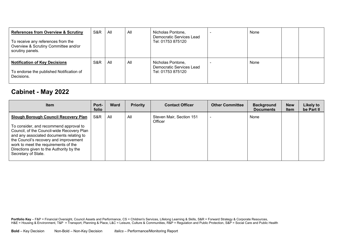| <b>References from Overview &amp; Scrutiny</b><br>To receive any references from the<br>Overview & Scrutiny Committee and/or<br>scrutiny panels. | S&R | All | All | Nicholas Pontone,<br>Democratic Services Lead<br>Tel: 01753 875120 | None |  |
|--------------------------------------------------------------------------------------------------------------------------------------------------|-----|-----|-----|--------------------------------------------------------------------|------|--|
| <b>Notification of Key Decisions</b><br>To endorse the published Notification of<br>Decisions.                                                   | S&R | All | All | Nicholas Pontone,<br>Democratic Services Lead<br>Tel: 01753 875120 | None |  |

# **Cabinet - May 2022**

| <b>Item</b>                                                                                                                                                                                                                                                                                                                          | Port-<br>folio | Ward | <b>Priority</b> | <b>Contact Officer</b>              | <b>Other Committee</b>   | <b>Background</b><br><b>Documents</b> | <b>New</b><br><b>Item</b> | Likely to<br>be Part II |
|--------------------------------------------------------------------------------------------------------------------------------------------------------------------------------------------------------------------------------------------------------------------------------------------------------------------------------------|----------------|------|-----------------|-------------------------------------|--------------------------|---------------------------------------|---------------------------|-------------------------|
| <b>Slough Borough Council Recovery Plan</b><br>To consider, and recommend approval to<br>Council, of the Council-wide Recovery Plan<br>and any associated documents relating to<br>the Council's recovery and improvement<br>work to meet the requirements of the<br>Directions given to the Authority by the<br>Secretary of State. | S&R            | All  | All             | Steven Mair, Section 151<br>Officer | $\overline{\phantom{0}}$ | None                                  |                           |                         |

Portfolio Key – F&P = Financial Oversight, Council Assets and Performance, CS = Children's Services, Lifelong Learning & Skills, S&R = Forward Strategy & Corporate Resources, H&E = Housing & Environment, T&P = Transport, Planning & Place, L&C = Leisure, Culture & Communities, R&P = Regulation and Public Protection, S&P = Social Care and Public Health